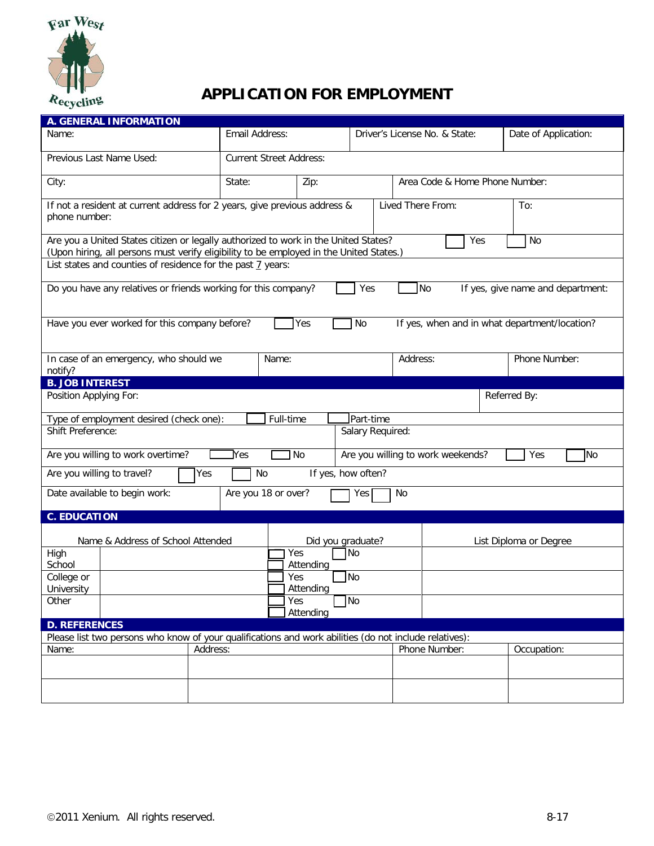

## **APPLICATION FOR EMPLOYMENT**

| <b>A. GENERAL INFORMATION</b>                                                                                                                                                                    |                                |                                        |                   |           |                               |               |     |                      |  |  |
|--------------------------------------------------------------------------------------------------------------------------------------------------------------------------------------------------|--------------------------------|----------------------------------------|-------------------|-----------|-------------------------------|---------------|-----|----------------------|--|--|
| Name:                                                                                                                                                                                            |                                | Email Address:                         |                   |           | Driver's License No. & State: |               |     | Date of Application: |  |  |
| Previous Last Name Used:                                                                                                                                                                         | <b>Current Street Address:</b> |                                        |                   |           |                               |               |     |                      |  |  |
| City:                                                                                                                                                                                            | State:                         | Zip:<br>Area Code & Home Phone Number: |                   |           |                               |               |     |                      |  |  |
| If not a resident at current address for 2 years, give previous address &<br>phone number:                                                                                                       |                                |                                        | Lived There From: |           |                               |               | To: |                      |  |  |
| Are you a United States citizen or legally authorized to work in the United States?<br>No<br>Yes<br>(Upon hiring, all persons must verify eligibility to be employed in the United States.)      |                                |                                        |                   |           |                               |               |     |                      |  |  |
| List states and counties of residence for the past 7 years:                                                                                                                                      |                                |                                        |                   |           |                               |               |     |                      |  |  |
| Do you have any relatives or friends working for this company?<br>Yes<br><b>No</b><br>If yes, give name and department:                                                                          |                                |                                        |                   |           |                               |               |     |                      |  |  |
| Have you ever worked for this company before?<br>No<br>If yes, when and in what department/location?<br>Yes                                                                                      |                                |                                        |                   |           |                               |               |     |                      |  |  |
| In case of an emergency, who should we<br>Name:<br>notify?                                                                                                                                       |                                |                                        |                   |           | Address:                      |               |     | Phone Number:        |  |  |
| <b>B. JOB INTEREST</b>                                                                                                                                                                           |                                |                                        |                   |           |                               |               |     |                      |  |  |
| Position Applying For:<br>Referred By:                                                                                                                                                           |                                |                                        |                   |           |                               |               |     |                      |  |  |
| Type of employment desired (check one):                                                                                                                                                          |                                | Full-time                              |                   | Part-time |                               |               |     |                      |  |  |
| Shift Preference:<br>Salary Required:                                                                                                                                                            |                                |                                        |                   |           |                               |               |     |                      |  |  |
| JNo<br>Are you willing to work weekends?<br>]No<br>Are you willing to work overtime?<br>$\operatorname*{Yes}% \left( X\right) \equiv\operatorname*{Yes}\left( X\right) , \label{Transf}%$<br>Yes |                                |                                        |                   |           |                               |               |     |                      |  |  |
| Are you willing to travel?<br><b>No</b><br>Yes<br>If yes, how often?                                                                                                                             |                                |                                        |                   |           |                               |               |     |                      |  |  |
| Are you 18 or over?<br>Date available to begin work:<br>No<br>Yes                                                                                                                                |                                |                                        |                   |           |                               |               |     |                      |  |  |
| <b>C. EDUCATION</b>                                                                                                                                                                              |                                |                                        |                   |           |                               |               |     |                      |  |  |
| Name & Address of School Attended<br>Did you graduate?<br>List Diploma or Degree                                                                                                                 |                                |                                        |                   |           |                               |               |     |                      |  |  |
| High<br>School                                                                                                                                                                                   |                                | Yes<br>Attending                       |                   | No        |                               |               |     |                      |  |  |
| College or                                                                                                                                                                                       |                                | Yes                                    |                   | <b>No</b> |                               |               |     |                      |  |  |
| University<br>Attending                                                                                                                                                                          |                                |                                        |                   |           |                               |               |     |                      |  |  |
| Other                                                                                                                                                                                            |                                | Yes<br>Attending                       |                   | <b>No</b> |                               |               |     |                      |  |  |
| <b>D. REFERENCES</b>                                                                                                                                                                             |                                |                                        |                   |           |                               |               |     |                      |  |  |
| Please list two persons who know of your qualifications and work abilities (do not include relatives):                                                                                           |                                |                                        |                   |           |                               |               |     |                      |  |  |
| Name:                                                                                                                                                                                            | Address:                       |                                        |                   |           |                               | Phone Number: |     | Occupation:          |  |  |
|                                                                                                                                                                                                  |                                |                                        |                   |           |                               |               |     |                      |  |  |
|                                                                                                                                                                                                  |                                |                                        |                   |           |                               |               |     |                      |  |  |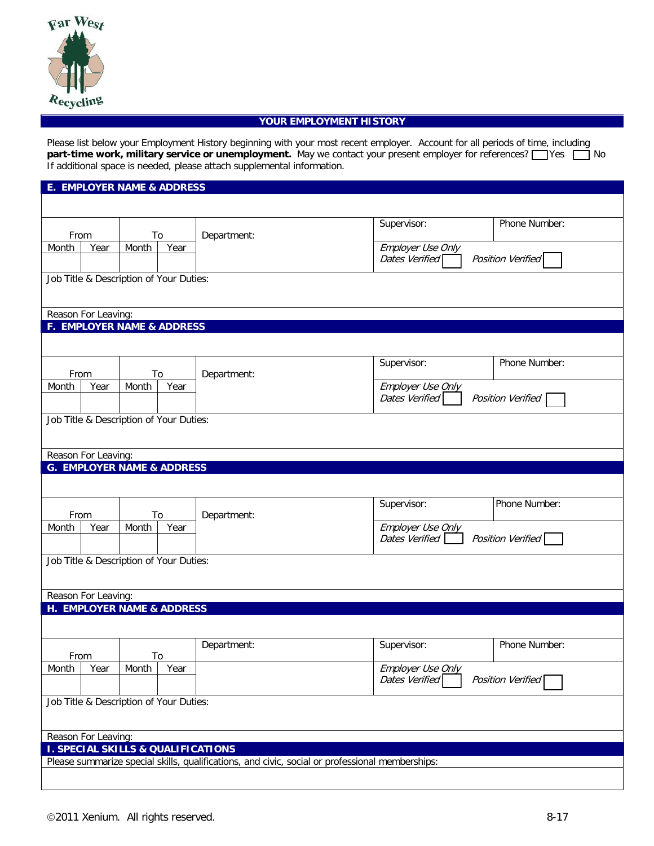

## **YOUR EMPLOYMENT HISTORY**

Please list below your Employment History beginning with your most recent employer. Account for all periods of time, including **part-time work, military service or unemployment.** May we contact your present employer for references?  $\Box$  Yes  $\Box$  No If additional space is needed, please attach supplemental information.

| <b>E. EMPLOYER NAME &amp; ADDRESS</b>   |                                                              |       |             |                                                                                                 |                                     |                   |  |  |  |  |
|-----------------------------------------|--------------------------------------------------------------|-------|-------------|-------------------------------------------------------------------------------------------------|-------------------------------------|-------------------|--|--|--|--|
|                                         |                                                              |       |             |                                                                                                 |                                     |                   |  |  |  |  |
| From<br>To                              |                                                              |       | Department: | Supervisor:                                                                                     | Phone Number:                       |                   |  |  |  |  |
| Month                                   | Year<br>Month                                                |       | Year        |                                                                                                 | Employer Use Only                   |                   |  |  |  |  |
|                                         |                                                              |       |             |                                                                                                 | Dates Verified                      | Position Verified |  |  |  |  |
|                                         |                                                              |       |             |                                                                                                 |                                     |                   |  |  |  |  |
| Job Title & Description of Your Duties: |                                                              |       |             |                                                                                                 |                                     |                   |  |  |  |  |
|                                         | Reason For Leaving:                                          |       |             |                                                                                                 |                                     |                   |  |  |  |  |
|                                         | <b>F. EMPLOYER NAME &amp; ADDRESS</b>                        |       |             |                                                                                                 |                                     |                   |  |  |  |  |
|                                         |                                                              |       |             |                                                                                                 |                                     |                   |  |  |  |  |
|                                         |                                                              |       |             |                                                                                                 |                                     | Phone Number:     |  |  |  |  |
| From                                    |                                                              | To    |             | Department:                                                                                     | Supervisor:                         |                   |  |  |  |  |
| Month                                   | Year                                                         | Month | Year        |                                                                                                 | Employer Use Only                   |                   |  |  |  |  |
|                                         |                                                              |       |             |                                                                                                 | Dates Verified<br>Position Verified |                   |  |  |  |  |
|                                         | Job Title & Description of Your Duties:                      |       |             |                                                                                                 |                                     |                   |  |  |  |  |
|                                         |                                                              |       |             |                                                                                                 |                                     |                   |  |  |  |  |
|                                         |                                                              |       |             |                                                                                                 |                                     |                   |  |  |  |  |
|                                         | Reason For Leaving:<br><b>G. EMPLOYER NAME &amp; ADDRESS</b> |       |             |                                                                                                 |                                     |                   |  |  |  |  |
|                                         |                                                              |       |             |                                                                                                 |                                     |                   |  |  |  |  |
|                                         |                                                              |       |             |                                                                                                 |                                     |                   |  |  |  |  |
|                                         | From<br>To<br>Year<br>Month                                  |       |             | Department:                                                                                     | Supervisor:                         | Phone Number:     |  |  |  |  |
| Month                                   |                                                              |       | Year        |                                                                                                 | Employer Use Only                   |                   |  |  |  |  |
|                                         |                                                              |       |             |                                                                                                 | Dates Verified<br>Position Verified |                   |  |  |  |  |
| Job Title & Description of Your Duties: |                                                              |       |             |                                                                                                 |                                     |                   |  |  |  |  |
|                                         |                                                              |       |             |                                                                                                 |                                     |                   |  |  |  |  |
|                                         |                                                              |       |             |                                                                                                 |                                     |                   |  |  |  |  |
|                                         | Reason For Leaving:<br>H. EMPLOYER NAME & ADDRESS            |       |             |                                                                                                 |                                     |                   |  |  |  |  |
|                                         |                                                              |       |             |                                                                                                 |                                     |                   |  |  |  |  |
|                                         |                                                              |       |             |                                                                                                 |                                     |                   |  |  |  |  |
|                                         |                                                              |       |             | Department:                                                                                     | Supervisor:                         | Phone Number:     |  |  |  |  |
| From<br>Month                           | Year                                                         | Month | To<br>Year  |                                                                                                 | Employer Use Only                   |                   |  |  |  |  |
|                                         |                                                              |       |             |                                                                                                 | Dates Verified                      | Position Verified |  |  |  |  |
|                                         |                                                              |       |             |                                                                                                 |                                     |                   |  |  |  |  |
| Job Title & Description of Your Duties: |                                                              |       |             |                                                                                                 |                                     |                   |  |  |  |  |
|                                         |                                                              |       |             |                                                                                                 |                                     |                   |  |  |  |  |
|                                         | Reason For Leaving:                                          |       |             |                                                                                                 |                                     |                   |  |  |  |  |
|                                         |                                                              |       |             | <b>I. SPECIAL SKILLS &amp; QUALIFICATIONS</b>                                                   |                                     |                   |  |  |  |  |
|                                         |                                                              |       |             | Please summarize special skills, qualifications, and civic, social or professional memberships: |                                     |                   |  |  |  |  |
|                                         |                                                              |       |             |                                                                                                 |                                     |                   |  |  |  |  |